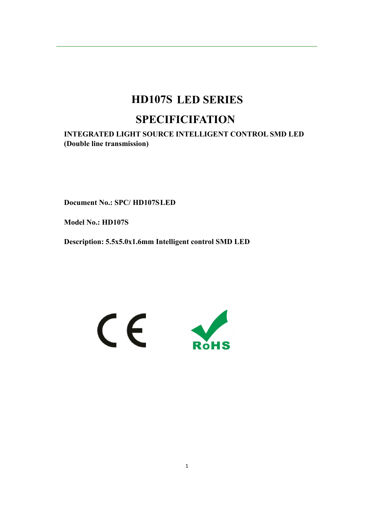# **HD107S LED SERIES SPECIFICIFATION**

**INTEGRATED LIGHT SOURCE INTELLIGENT CONTROL SMD LED (Double line transmission)**

**Document No.: SPC/ HD107SLED**

**Model No.: HD107S**

**Description: 5.5x5.0x1.6mm Intelligent control SMD LED**

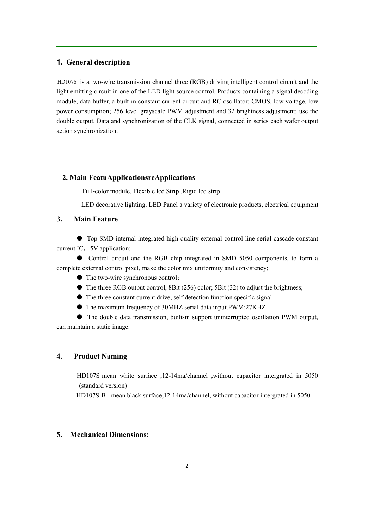#### **1. General description**

HD107S is a two-wire transmission channel three (RGB) driving intelligent control circuit and the light emitting circuit in one of the LED light source control. Products containing a signal decoding module, data buffer, a built-in constant current circuit and RC oscillator; CMOS, low voltage, low power consumption; 256 level grayscale PWM adjustment and 32 brightness adjustment; use the double output, Data and synchronization of the CLK signal, connected in series each wafer output action synchronization.

#### **2. Main FeatuApplicationsreApplications**

Full-color module, Flexible led Strip ,Rigid led strip

LED decorative lighting, LED Panel <sup>a</sup> variety of electronic products, electrical equipment

#### **3. Main Feature**

● Top SMD internal integrated high quality external control line serial cascade constant current IC, 5V application;

● Control circuit and the RGB chip integrated in SMD 5050 components, to form a complete external control pixel, make the color mix uniformity and consistency;

● The two-wire synchronous control;

- $\bullet$  The three RGB output control, 8Bit (256) color; 5Bit (32) to adjust the brightness;
- $\bullet$  The three constant current drive, self detection function specific signal
- The maximum frequency of 30MHZ serial data input.PWM:27KHZ

● The double data transmission, built-in support uninterrupted oscillation PWM output, can maintain a static image.

### **4. Product Naming**

HD107S mean white surface ,12-14ma/channel ,without capacitor intergrated in 5050 (standard version)

HD107S-B mean black surface,12-14ma/channel, without capacitor intergrated in 5050

### **5. Mechanical Dimensions:**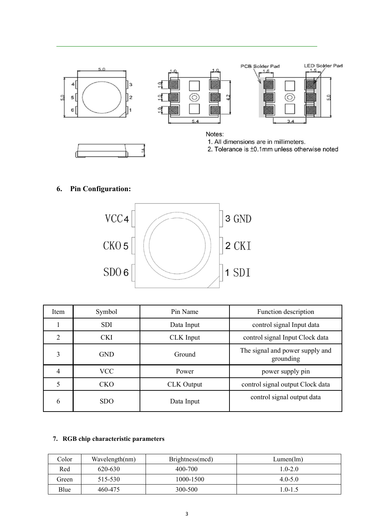

## **6. Pin Configuration:**



| Item           | Symbol     | Pin Name          | Function description                         |
|----------------|------------|-------------------|----------------------------------------------|
|                | <b>SDI</b> | Data Input        | control signal Input data                    |
| $\overline{2}$ | <b>CKI</b> | CLK Input         | control signal Input Clock data              |
| 3              | <b>GND</b> | Ground            | The signal and power supply and<br>grounding |
| 4              | <b>VCC</b> | Power             | power supply pin                             |
|                | <b>CKO</b> | <b>CLK</b> Output | control signal output Clock data             |
| 6              | <b>SDO</b> | Data Input        | control signal output data                   |

## **7. RGB chip characteristic parameters**

| Color | Wavelength(nm) | Brightness(mcd) | Lumen(lm)   |
|-------|----------------|-----------------|-------------|
| Red   | 620-630        | 400-700         | $1.0 - 2.0$ |
| Green | 515-530        | 1000-1500       | $4.0 - 5.0$ |
| Blue  | 460-475        | 300-500         | $10-15$     |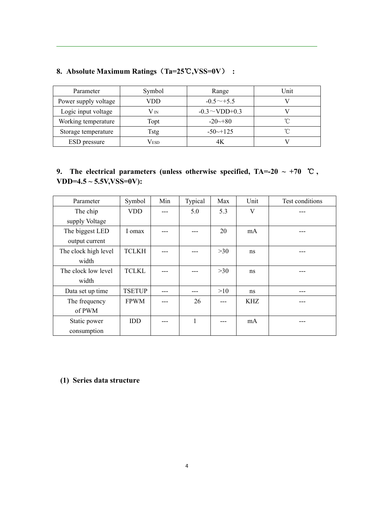| Parameter            | Symbol | Range                 | Unit |
|----------------------|--------|-----------------------|------|
| Power supply voltage | VDD    | $-0.5 \sim +5.5$      |      |
| Logic input voltage  | V in   | $-0.3 \sim$ VDD+0.3   |      |
| Working temperature  | Topt   | $-20 \rightarrow 80$  |      |
| Storage temperature  | Tstg   | $-50 \rightarrow 125$ | ∽    |
| ESD pressure         | Vesd   | 4Κ                    |      |

## **8. Absolute Maximum Ratings**(**Ta=25**℃**,VSS=0V**) **:**

## **9.** The electrical parameters (unless otherwise specified,  $TA=20 \sim +70$  °C, **VDD=4.5 ~ 5.5V,VSS=0V):**

| Parameter            | Symbol        | Min | Typical | Max | Unit | Test conditions |
|----------------------|---------------|-----|---------|-----|------|-----------------|
| The chip             | <b>VDD</b>    |     | 5.0     | 5.3 | V    |                 |
| supply Voltage       |               |     |         |     |      |                 |
| The biggest LED      | I omax        |     |         | 20  | mA   |                 |
| output current       |               |     |         |     |      |                 |
| The clock high level | <b>TCLKH</b>  |     |         | >30 | ns   |                 |
| width                |               |     |         |     |      |                 |
| The clock low level  | <b>TCLKL</b>  |     |         | >30 | ns   |                 |
| width                |               |     |         |     |      |                 |
| Data set up time     | <b>TSETUP</b> |     |         | >10 | ns   |                 |
| The frequency        | <b>FPWM</b>   |     | 26      |     | KHZ. |                 |
| of PWM               |               |     |         |     |      |                 |
| Static power         | <b>IDD</b>    |     | 1       |     | mA   |                 |
| consumption          |               |     |         |     |      |                 |

## **(1) Series data structure**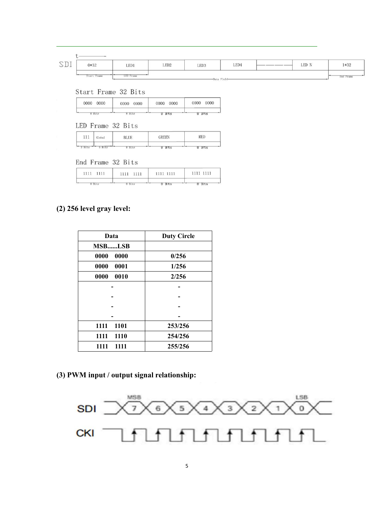| $\cap$ $\Box$<br>$\check{ }$<br>$\overline{ }$ | $0*32$                                         | LED <sub>1</sub> | LED <sub>2</sub> | LED <sub>3</sub> | LED4 | LED N | 1*32      |
|------------------------------------------------|------------------------------------------------|------------------|------------------|------------------|------|-------|-----------|
|                                                | ---<br>$\overline{\phantom{a}}$<br>Start Frame | <b>LED Frame</b> |                  | Done 124 - 1-3   |      |       | End Frame |

Start Frame 32 Bits

| 0000 | 0000 | 0000    | 0000 |
|------|------|---------|------|
| 0000 | 0000 | 0000    | 0000 |
| Bits | Bits | Bľ<br>R |      |

LED Frame 32 Bits

| 111  | and contact in the<br>Global |      | <b>GREEN</b> | RED  |  |
|------|------------------------------|------|--------------|------|--|
| Bits |                              | Bits | -<br>8       | Bits |  |

End Frame 32 Bits

| 111 | 1111 1111 |  |
|-----|-----------|--|

## **(2) 256 level gray level:**

| Data         | <b>Duty Circle</b> |
|--------------|--------------------|
| MSBLSB       |                    |
| 0000<br>0000 | 0/256              |
| 0000<br>0001 | 1/256              |
| 0000<br>0010 | 2/256              |
|              |                    |
|              |                    |
|              |                    |
|              |                    |
| 1101<br>1111 | 253/256            |
| 1111<br>1110 | 254/256            |
| 1111<br>1111 | 255/256            |

**(3) PWM input / output signal relationship:**

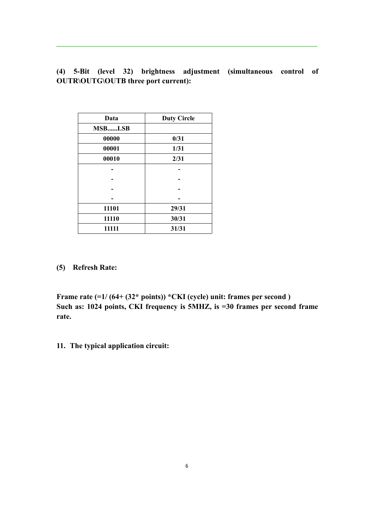**(4) 5-Bit (level 32) brightness adjustment (simultaneous control of OUTR\OUTG\OUTB three port current):**

| Data   | <b>Duty Circle</b> |
|--------|--------------------|
| MSBLSB |                    |
| 00000  | 0/31               |
| 00001  | 1/31               |
| 00010  | 2/31               |
|        |                    |
|        |                    |
|        |                    |
|        |                    |
| 11101  | 29/31              |
| 11110  | 30/31              |
| 11111  | 31/31              |

**(5) Refresh Rate:**

**Frame rate (=1/ (64+ (32\* points)) \*CKI (cycle) unit: frames per second ) Such as: 1024 points, CKI frequency is 5MHZ, is =30 frames per second frame rate.**

**11. The typical application circuit:**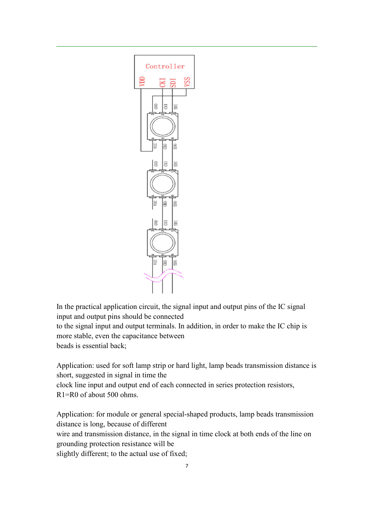

In the practical application circuit, the signal input and output pins of the IC signal input and output pins should be connected

to the signal input and output terminals. In addition, in order to make the IC chip is more stable, even the capacitance between beads is essential back;

Application: used for soft lamp strip or hard light, lamp beads transmission distance is short, suggested in signal in time the clock line input and output end of each connected in series protection resistors,

R1=R0 of about 500 ohms.

Application: for module or general special-shaped products, lamp beads transmission distance is long, because of different wire and transmission distance, in the signal in time clock at both ends of the line on grounding protection resistance will be slightly different; to the actual use of fixed;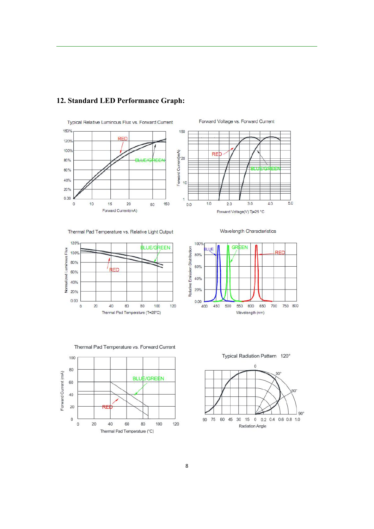

## **12. Standard LED Performance Graph:**





Wavelength Characteristics

 $3.0$ 

 $\overline{5.0}$ 

 $4.0$ 



Thermal Pad Temperature vs. Relative Light Output

100% **GREEN** Relative Emission Distribution **BLUE** RED 80% 60% 40% 20%  $0.00$ 700 750 800 400 450 500 550 600 650 Wavelength (nm)



60

Thermal Pad Temperature (°C)

80

100

120

 $\mathbf{0}$ 

 $20$ 

40

Thermal Pad Temperature vs. Forward Current

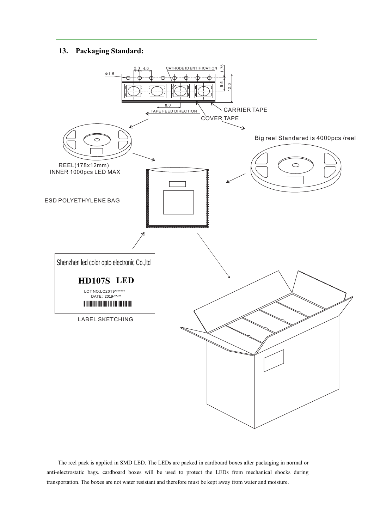## **13 . Packaging Standard:**



The reel pack is applied in SMD LED. The LEDs are packed in cardboard boxes after packaging in normal or anti-electrostatic bags. cardboard boxes will be used to protect the LEDs from mechanical shocks during transportation. The boxes are not water resistant and therefore must be kept away from water and moisture.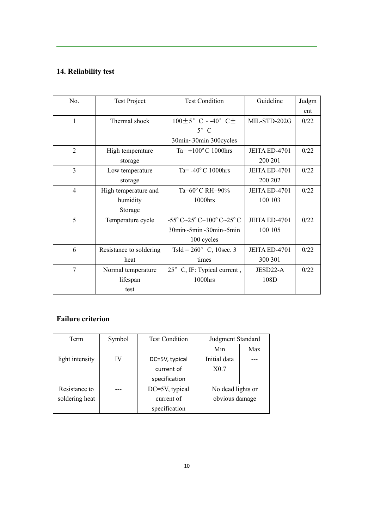## **14. Reliability test**

| No.            | <b>Test Project</b>     | <b>Test Condition</b>                                                                 | Guideline     | Judgm |
|----------------|-------------------------|---------------------------------------------------------------------------------------|---------------|-------|
|                |                         |                                                                                       |               | ent   |
| 1              | Thermal shock           | $100 \pm 5^{\circ}$ C ~ -40° C $\pm$                                                  | MIL-STD-202G  | 0/22  |
|                |                         | $5^\circ$ C                                                                           |               |       |
|                |                         | 30min~30min 300cycles                                                                 |               |       |
| $\overline{2}$ | High temperature        | Ta= $+100^{\circ}$ C 1000hrs                                                          | JEITA ED-4701 | 0/22  |
|                | storage                 |                                                                                       | 200 201       |       |
| $\overline{3}$ | Low temperature         | Ta= $-40^{\circ}$ C 1000hrs                                                           | JEITA ED-4701 | 0/22  |
|                | storage                 |                                                                                       | 200 202       |       |
| $\overline{4}$ | High temperature and    | Ta= $60^{\circ}$ C RH= $90\%$                                                         | JEITA ED-4701 | 0/22  |
|                | humidity                | 1000hrs                                                                               | 100 103       |       |
|                | Storage                 |                                                                                       |               |       |
| 5              | Temperature cycle       | $-55^{\circ}$ C $\sim$ 25 $^{\circ}$ C $\sim$ 100 $^{\circ}$ C $\sim$ 25 $^{\circ}$ C | JEITA ED-4701 | 0/22  |
|                |                         | $30\text{min}\sim5\text{min}\sim30\text{min}\sim5\text{min}$                          | 100 105       |       |
|                |                         | 100 cycles                                                                            |               |       |
| 6              | Resistance to soldering | Tsld = $260^{\circ}$ C, 10sec. 3                                                      | JEITA ED-4701 | 0/22  |
|                | heat                    | times                                                                                 | 300 301       |       |
| 7              | Normal temperature      | 25° C, IF: Typical current,                                                           | JESD22-A      | 0/22  |
|                | lifespan                | 1000hrs                                                                               | 108D          |       |
|                | test                    |                                                                                       |               |       |

## **Failure criterion**

| Term            | Symbol | <b>Test Condition</b> | Judgment Standard |     |
|-----------------|--------|-----------------------|-------------------|-----|
|                 |        |                       | Min               | Max |
| light intensity | IV     | DC=5V, typical        | Initial data      |     |
|                 |        | current of            | X0.7              |     |
|                 |        | specification         |                   |     |
| Resistance to   |        | DC=5V, typical        | No dead lights or |     |
| soldering heat  |        | current of            | obvious damage    |     |
|                 |        | specification         |                   |     |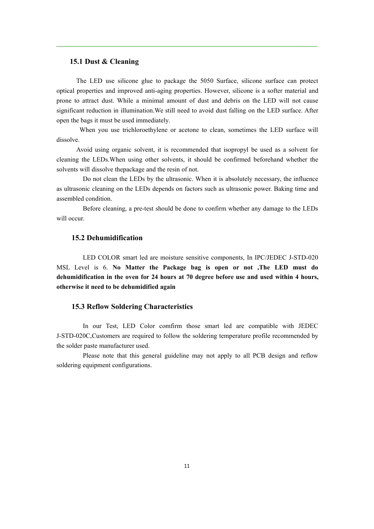#### **15.1 Dust & Cleaning**

The LED use silicone glue to package the 5050 Surface, silicone surface can protect optical properties and improved anti-aging properties. However, silicone is a softer material and prone to attract dust. While a minimal amount of dust and debris on the LED will not cause significant reduction in illumination.We still need to avoid dust falling on the LED surface. After open the bags it must be used immediately.

When you use trichloroethylene or acetone to clean, sometimes the LED surface will dissolve.

Avoid using organic solvent, it is recommended that isopropyl be used as a solvent for cleaning the LEDs.When using other solvents, it should be confirmed beforehand whether the solvents will dissolve thepackage and the resin of not.

Do not clean the LEDs by the ultrasonic. When it is absolutely necessary, the influence as ultrasonic cleaning on the LEDs depends on factors such as ultrasonic power. Baking time and assembled condition.

Before cleaning, a pre-test should be done to confirm whether any damage to the LEDs will occur.

## **15.2 Dehumidification**

LED COLOR smart led are moisture sensitive components, In IPC/JEDEC J-STD-020 MSL Level is 6. **No Matter the Package bag is open or not ,The LED must do dehumidification in the oven for 24 hours at 70 degree before use and used within 4 hours, otherwise it need to be dehumidified again**

#### **15.3 Reflow Soldering Characteristics**

In our Test, LED Color comfirm those smart led are compatible with JEDEC J-STD-020C,Customers are required to follow the soldering temperature profile recommended by the solder paste manufacturer used.

Please note that this general guideline may not apply to all PCB design and reflow soldering equipment configurations.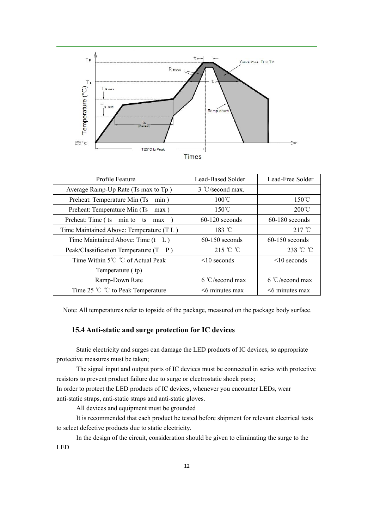

| Profile Feature                           | Lead-Based Solder           | Lead-Free Solder         |
|-------------------------------------------|-----------------------------|--------------------------|
| Average Ramp-Up Rate (Ts max to Tp)       | $3 \text{ °C}$ /second max. |                          |
| Preheat: Temperature Min (Ts)<br>min)     | $100^{\circ}$ C             | $150^{\circ}$ C          |
| Preheat: Temperature Min (Ts)<br>$max$ )  | $150^{\circ}$ C             | $200^{\circ}$ C          |
| Preheat: Time (ts min to ts<br>max        | $60-120$ seconds            | $60-180$ seconds         |
| Time Maintained Above: Temperature (TL)   | 183 $\degree$ C             | $217^{\circ}$ C          |
| Time Maintained Above: Time $(t L)$       | $60-150$ seconds            | $60-150$ seconds         |
| Peak/Classification Temperature $(T \ P)$ | 215 °C $\degree$ C          | 238 °C °C                |
| Time Within 5℃ ℃ of Actual Peak           | $\leq 10$ seconds           | $\leq 10$ seconds        |
| Temperature (tp)                          |                             |                          |
| Ramp-Down Rate                            | $6 °C$ /second max          | $6 \degree$ C/second max |
| Time 25 $\degree$ C to Peak Temperature   | $\leq$ 6 minutes max        | $\leq$ 6 minutes max     |

Note: All temperatures refer to topside of the package, measured on the package body surface.

## **15.4 Anti-static and surge protection for IC devices**

Static electricity and surges can damage the LED products of IC devices, so appropriate protective measures must be taken;

The signal input and output ports of IC devices must be connected in series with protective resistors to prevent product failure due to surge or electrostatic shock ports;

In order to protect the LED products of IC devices, whenever you encounter LEDs, wear anti-static straps, anti-static straps and anti-static gloves.

All devices and equipment must be grounded

It is recommended that each product be tested before shipment for relevant electrical tests to select defective products due to static electricity.

In the design of the circuit, consideration should be given to eliminating the surge to the LED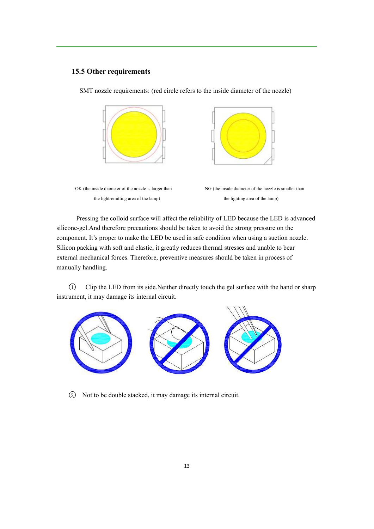#### **15.5 Other requirements**

SMT nozzle requirements: (red circle refers to the inside diameter of the nozzle)



Pressing the colloid surface will affect the reliability of LED because the LED is advanced silicone-gel.And therefore precautions should be taken to avoid the strong pressure on the component. It's proper to make the LED be used in safe condition when using a suction nozzle. Silicon packing with soft and elastic, it greatly reduces thermal stresses and unable to bear external mechanical forces. Therefore, preventive measures should be taken in process of manually handling.

1 Clip the LED from its side.Neither directly touch the gel surface with the hand or sharp instrument, it may damage its internal circuit.



2 Not to be double stacked, it may damage its internal circuit.